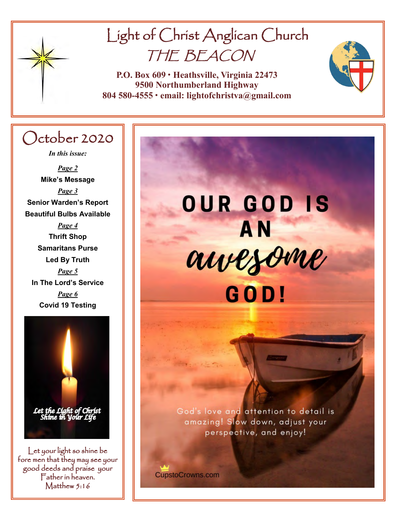

# Light of Christ Anglican Church THE BEACON

**P.O. Box 609 • Heathsville, Virginia 22473 9500 Northumberland Highway 804 580-4555 • email: lightofchristva@gmail.com**

## October 2020

*In this issue:*

*Page 2* **Mike's Message** *Page 3* **Senior Warden's Report Beautiful Bulbs Available** *Page 4* **Thrift Shop Samaritans Purse Led By Truth** *Page 5*  **In The Lord's Service** *Page 6* **Covid 19 Testing**



Let your light so shine be fore men that they may see your good deeds and praise your Father in heaven. Matthew 5:16

# **OUR GOD IS AN** awezome GOD!

God's love and attention to detail is amazing! Slow down, adjust your perspective, and enjoy!

**Your Vote Counts!**

**CupstoCrowns.com**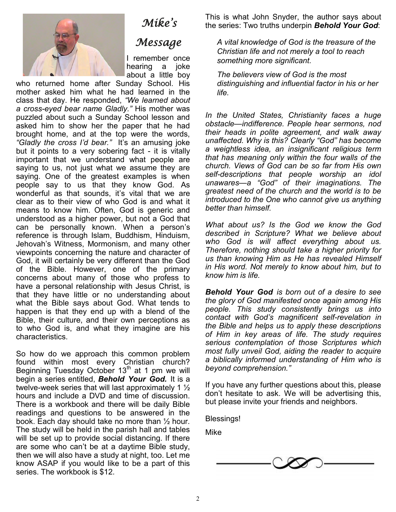### *Mike's*

## *Message*

I remember once hearing a joke about a little boy

who returned home after Sunday School. His mother asked him what he had learned in the class that day. He responded, *"We learned about a cross-eyed bear name Gladly."* His mother was puzzled about such a Sunday School lesson and asked him to show her the paper that he had brought home, and at the top were the words, *"Gladly the cross I'd bear."* It's an amusing joke but it points to a very sobering fact - it is vitally important that we understand what people are saying to us, not just what we assume they are saying. One of the greatest examples is when people say to us that they know God. As wonderful as that sounds, it's vital that we are clear as to their view of who God is and what it means to know him. Often, God is generic and understood as a higher power, but not a God that can be personally known. When a person's reference is through Islam, Buddhism, Hinduism, Jehovah's Witness, Mormonism, and many other viewpoints concerning the nature and character of God, it will certainly be very different than the God of the Bible. However, one of the primary concerns about many of those who profess to have a personal relationship with Jesus Christ, is that they have little or no understanding about what the Bible says about God. What tends to happen is that they end up with a blend of the Bible, their culture, and their own perceptions as to who God is, and what they imagine are his characteristics.

So how do we approach this common problem found within most every Christian church? Beginning Tuesday October  $13<sup>th</sup>$  at 1 pm we will begin a series entitled, *Behold Your God.* It is a twelve-week series that will last approximately 1 ½ hours and include a DVD and time of discussion. There is a workbook and there will be daily Bible readings and questions to be answered in the book. Each day should take no more than ½ hour. The study will be held in the parish hall and tables will be set up to provide social distancing. If there are some who can't be at a daytime Bible study, then we will also have a study at night, too. Let me know ASAP if you would like to be a part of this series. The workbook is \$12.

This is what John Snyder, the author says about the series: Two truths underpin *Behold Your God*:

*A vital knowledge of God is the treasure of the Christian life and not merely a tool to reach something more significant.*

*The believers view of God is the most distinguishing and influential factor in his or her life.*

*In the United States, Christianity faces a huge obstacle—indifference. People hear sermons, nod their heads in polite agreement, and walk away unaffected. Why is this? Clearly "God" has become a weightless idea, an insignificant religious term that has meaning only within the four walls of the church. Views of God can be so far from His own self-descriptions that people worship an idol unawares—a "God" of their imaginations. The greatest need of the church and the world is to be introduced to the One who cannot give us anything better than himself.*

*What about us? Is the God we know the God described in Scripture? What we believe about who God is will affect everything about us. Therefore, nothing should take a higher priority for us than knowing Him as He has revealed Himself in His word. Not merely to know about him, but to know him is life.*

*Behold Your God is born out of a desire to see the glory of God manifested once again among His people. This study consistently brings us into contact with God's magnificent self-revelation in the Bible and helps us to apply these descriptions of Him in key areas of life. The study requires serious contemplation of those Scriptures which most fully unveil God, aiding the reader to acquire a biblically informed understanding of Him who is beyond comprehension."*

If you have any further questions about this, please don't hesitate to ask. We will be advertising this, but please invite your friends and neighbors.

Blessings!

Mike

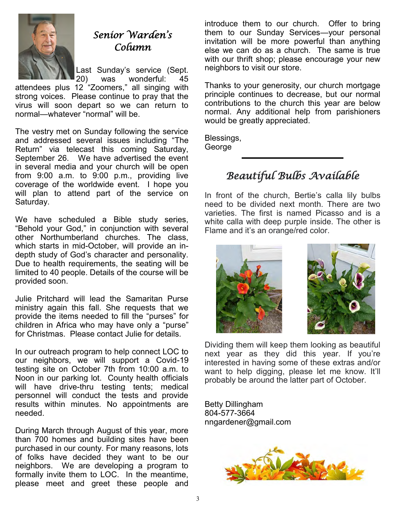

## *Senior Warden's Column*

Last Sunday's service (Sept.<br>20) was wonderful: 45

was wonderful: 45 attendees plus 12 "Zoomers," all singing with strong voices. Please continue to pray that the virus will soon depart so we can return to normal—whatever "normal" will be.

The vestry met on Sunday following the service and addressed several issues including "The Return" via telecast this coming Saturday, September 26. We have advertised the event in several media and your church will be open from 9:00 a.m. to 9:00 p.m., providing live coverage of the worldwide event. I hope you will plan to attend part of the service on Saturday.

We have scheduled a Bible study series, "Behold your God," in conjunction with several other Northumberland churches. The class, which starts in mid-October, will provide an indepth study of God's character and personality. Due to health requirements, the seating will be limited to 40 people. Details of the course will be provided soon.

Julie Pritchard will lead the Samaritan Purse ministry again this fall. She requests that we provide the items needed to fill the "purses" for children in Africa who may have only a "purse" for Christmas. Please contact Julie for details.

In our outreach program to help connect LOC to our neighbors, we will support a Covid-19 testing site on October 7th from 10:00 a.m. to Noon in our parking lot. County health officials will have drive-thru testing tents; medical personnel will conduct the tests and provide results within minutes. No appointments are needed.

During March through August of this year, more than 700 homes and building sites have been purchased in our county. For many reasons, lots of folks have decided they want to be our neighbors. We are developing a program to formally invite them to LOC. In the meantime, please meet and greet these people and

introduce them to our church. Offer to bring them to our Sunday Services—your personal invitation will be more powerful than anything else we can do as a church. The same is true with our thrift shop; please encourage your new neighbors to visit our store.

Thanks to your generosity, our church mortgage principle continues to decrease, but our normal contributions to the church this year are below normal. Any additional help from parishioners would be greatly appreciated.

Blessings, George

## *Beautiful Bulbs Available*

In front of the church, Bertie's calla lily bulbs need to be divided next month. There are two varieties. The first is named Picasso and is a white calla with deep purple inside. The other is Flame and it's an orange/red color.





Dividing them will keep them looking as beautiful next year as they did this year. If you're interested in having some of these extras and/or want to help digging, please let me know. It'll probably be around the latter part of October.

Betty Dillingham 804-577-3664 nngardener@gmail.com

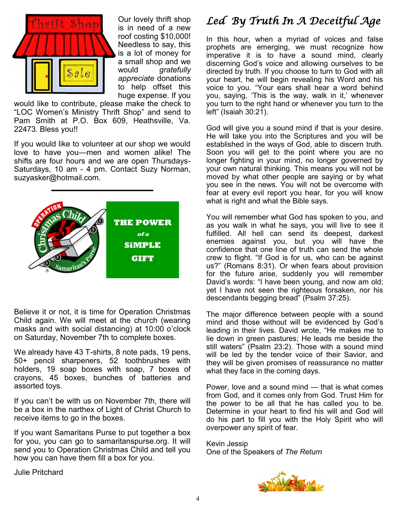

Our lovely thrift shop is in need of a new roof costing \$10,000! Needless to say, this is a lot of money for a small shop and we would *gratefully appreciate* donations to help offset this huge expense. If you

would like to contribute, please make the check to "LOC Women's Ministry Thrift Shop" and send to Pam Smith at P.O. Box 609, Heathsville, Va. 22473. Bless you!!

If you would like to volunteer at our shop we would love to have you—men and women alike! The shifts are four hours and we are open Thursdays-Saturdays, 10 am - 4 pm. Contact Suzy Norman, suzyasker@hotmail.com.



Believe it or not, it is time for Operation Christmas Child again. We will meet at the church (wearing masks and with social distancing) at 10:00 o'clock on Saturday, November 7th to complete boxes.

We already have 43 T-shirts, 8 note pads, 19 pens, 50+ pencil sharpeners, 52 toothbrushes with holders, 19 soap boxes with soap, 7 boxes of crayons, 45 boxes, bunches of batteries and assorted toys.

If you can't be with us on November 7th, there will be a box in the narthex of Light of Christ Church to receive items to go in the boxes.

If you want Samaritans Purse to put together a box for you, you can go to samaritanspurse.org. It will send you to Operation Christmas Child and tell you how you can have them fill a box for you.

Julie Pritchard

## *Led By Truth In A Deceitful Age*

In this hour, when a myriad of voices and false prophets are emerging, we must recognize how imperative it is to have a sound mind, clearly discerning God's voice and allowing ourselves to be directed by truth. If you choose to turn to God with all your heart, he will begin revealing his Word and his voice to you. "Your ears shall hear a word behind you, saying, 'This is the way, walk in it,' whenever you turn to the right hand or whenever you turn to the left" (Isaiah 30:21).

God will give you a sound mind if that is your desire. He will take you into the Scriptures and you will be established in the ways of God, able to discern truth. Soon you will get to the point where you are no longer fighting in your mind, no longer governed by your own natural thinking. This means you will not be moved by what other people are saying or by what you see in the news. You will not be overcome with fear at every evil report you hear, for you will know what is right and what the Bible says.

You will remember what God has spoken to you, and as you walk in what he says, you will live to see it fulfilled. All hell can send its deepest, darkest enemies against you, but you will have the confidence that one line of truth can send the whole crew to flight. "If God is for us, who can be against us?" (Romans 8:31). Or when fears about provision for the future arise, suddenly you will remember David's words: "I have been young, and now am old; yet I have not seen the righteous forsaken, nor his descendants begging bread" (Psalm 37:25).

The major difference between people with a sound mind and those without will be evidenced by God's leading in their lives. David wrote, "He makes me to lie down in green pastures; He leads me beside the still waters" (Psalm 23:2). Those with a sound mind will be led by the tender voice of their Savior, and they will be given promises of reassurance no matter what they face in the coming days.

Power, love and a sound mind — that is what comes from God, and it comes only from God. Trust Him for the power to be all that he has called you to be. Determine in your heart to find his will and God will do his part to fill you with the Holy Spirit who will overpower any spirit of fear.

Kevin Jessip One of the Speakers of *The Return*

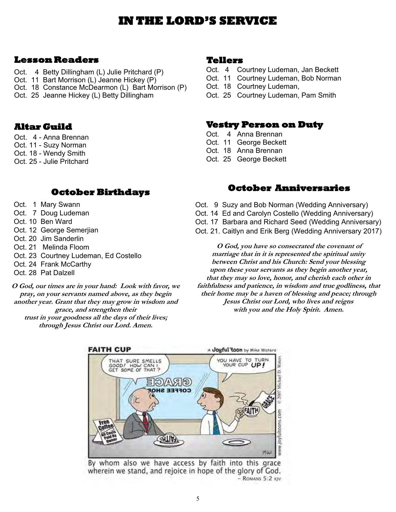## **IN THE LORD'S SERVICE**

#### **Lesson Readers**

- Oct. 4 Betty Dillingham (L) Julie Pritchard (P)
- Oct. 11 Bart Morrison (L) Jeanne Hickey (P)
- Oct. 18 Constance McDearmon (L) Bart Morrison (P)
- Oct. 25 Jeanne Hickey (L) Betty Dillingham

#### **Altar Guild**

- Oct. 4 Anna Brennan
- Oct. 11 Suzy Norman
- Oct. 18 Wendy Smith
- Oct. 25 Julie Pritchard

#### **October Birthdays**

- Oct. 1 Mary Swann
- Oct. 7 Doug Ludeman
- Oct. 10 Ben Ward
- Oct. 12 George Semerjian
- Oct. 20 Jim Sanderlin
- Oct. 21 Melinda Floom
- Oct. 23 Courtney Ludeman, Ed Costello
- Oct. 24 Frank McCarthy
- Oct. 28 Pat Dalzell

**O God, our times are in your hand: Look with favor, we pray, on your servants named above, as they begin another year. Grant that they may grow in wisdom and grace, and strengthen their trust in your goodness all the days of their lives; through Jesus Christ our Lord. Amen.**

#### **Tellers**

- Oct. 4 Courtney Ludeman, Jan Beckett
- Oct. 11 Courtney Ludeman, Bob Norman
- Oct. 18 Courtney Ludeman,
- Oct. 25 Courtney Ludeman, Pam Smith

#### **Vestry Person on Duty**

- Oct. 4 Anna Brennan
- Oct. 11 George Beckett
- Oct. 18 Anna Brennan
- Oct. 25 George Beckett

#### **October Anniversaries**

- Oct. 9 Suzy and Bob Norman (Wedding Anniversary)
- Oct. 14 Ed and Carolyn Costello (Wedding Anniversary)
- Oct. 17 Barbara and Richard Seed (Wedding Anniversary)
- Oct. 21. Caitlyn and Erik Berg (Wedding Anniversary 2017)

**O God, you have so consecrated the covenant of marriage that in it is represented the spiritual unity between Christ and his Church: Send your blessing upon these your servants as they begin another year, that they may so love, honor, and cherish each other in faithfulness and patience, in wisdom and true godliness, that their home may be a haven of blessing and peace; through Jesus Christ our Lord, who lives and reigns with you and the Holy Spirit. Amen.** 



By whom also we have access by faith into this grace wherein we stand, and rejoice in hope of the glory of God. - ROMANS 5:2 KJV